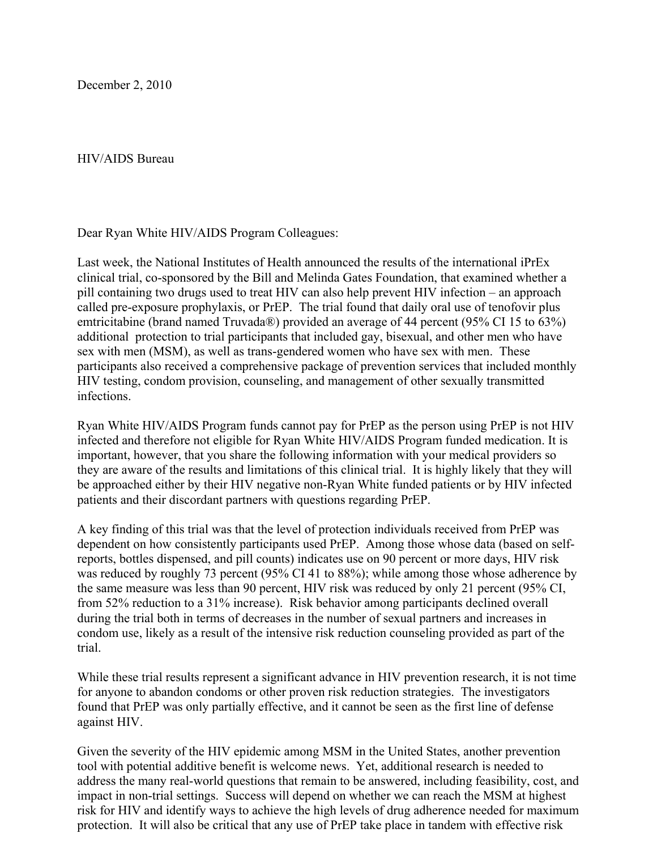December 2, 2010

HIV/AIDS Bureau

Dear Ryan White HIV/AIDS Program Colleagues:

Last week, the National Institutes of Health announced the results of the international iPrEx clinical trial, co-sponsored by the Bill and Melinda Gates Foundation, that examined whether a pill containing two drugs used to treat HIV can also help prevent HIV infection – an approach called pre-exposure prophylaxis, or PrEP. The trial found that daily oral use of tenofovir plus emtricitabine (brand named Truvada®) provided an average of 44 percent (95% CI 15 to 63%) additional protection to trial participants that included gay, bisexual, and other men who have sex with men (MSM), as well as trans-gendered women who have sex with men. These participants also received a comprehensive package of prevention services that included monthly HIV testing, condom provision, counseling, and management of other sexually transmitted infections.

Ryan White HIV/AIDS Program funds cannot pay for PrEP as the person using PrEP is not HIV infected and therefore not eligible for Ryan White HIV/AIDS Program funded medication. It is important, however, that you share the following information with your medical providers so they are aware of the results and limitations of this clinical trial. It is highly likely that they will be approached either by their HIV negative non-Ryan White funded patients or by HIV infected patients and their discordant partners with questions regarding PrEP.

A key finding of this trial was that the level of protection individuals received from PrEP was dependent on how consistently participants used PrEP. Among those whose data (based on selfreports, bottles dispensed, and pill counts) indicates use on 90 percent or more days, HIV risk was reduced by roughly 73 percent (95% CI 41 to 88%); while among those whose adherence by the same measure was less than 90 percent, HIV risk was reduced by only 21 percent (95% CI, from 52% reduction to a 31% increase). Risk behavior among participants declined overall during the trial both in terms of decreases in the number of sexual partners and increases in condom use, likely as a result of the intensive risk reduction counseling provided as part of the trial.

While these trial results represent a significant advance in HIV prevention research, it is not time for anyone to abandon condoms or other proven risk reduction strategies. The investigators found that PrEP was only partially effective, and it cannot be seen as the first line of defense against HIV.

Given the severity of the HIV epidemic among MSM in the United States, another prevention tool with potential additive benefit is welcome news. Yet, additional research is needed to address the many real-world questions that remain to be answered, including feasibility, cost, and impact in non-trial settings. Success will depend on whether we can reach the MSM at highest risk for HIV and identify ways to achieve the high levels of drug adherence needed for maximum protection. It will also be critical that any use of PrEP take place in tandem with effective risk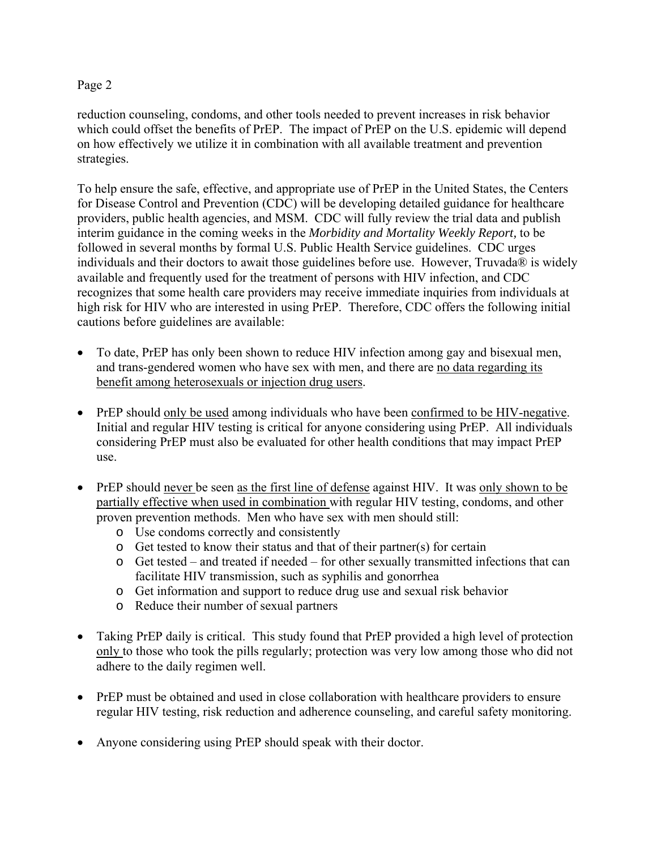## Page 2

reduction counseling, condoms, and other tools needed to prevent increases in risk behavior which could offset the benefits of PrEP. The impact of PrEP on the U.S. epidemic will depend on how effectively we utilize it in combination with all available treatment and prevention strategies.

To help ensure the safe, effective, and appropriate use of PrEP in the United States, the Centers for Disease Control and Prevention (CDC) will be developing detailed guidance for healthcare providers, public health agencies, and MSM. CDC will fully review the trial data and publish interim guidance in the coming weeks in the *Morbidity and Mortality Weekly Report,* to be followed in several months by formal U.S. Public Health Service guidelines. CDC urges individuals and their doctors to await those guidelines before use. However, Truvada® is widely available and frequently used for the treatment of persons with HIV infection, and CDC recognizes that some health care providers may receive immediate inquiries from individuals at high risk for HIV who are interested in using PrEP. Therefore, CDC offers the following initial cautions before guidelines are available:

- To date, PrEP has only been shown to reduce HIV infection among gay and bisexual men, and trans-gendered women who have sex with men, and there are no data regarding its benefit among heterosexuals or injection drug users.
- PrEP should only be used among individuals who have been confirmed to be HIV-negative. Initial and regular HIV testing is critical for anyone considering using PrEP. All individuals considering PrEP must also be evaluated for other health conditions that may impact PrEP use.
- PrEP should never be seen as the first line of defense against HIV. It was only shown to be partially effective when used in combination with regular HIV testing, condoms, and other proven prevention methods. Men who have sex with men should still:
	- o Use condoms correctly and consistently
	- $\circ$  Get tested to know their status and that of their partner(s) for certain
	- o Get tested and treated if needed for other sexually transmitted infections that can facilitate HIV transmission, such as syphilis and gonorrhea
	- o Get information and support to reduce drug use and sexual risk behavior
	- o Reduce their number of sexual partners
- Taking PrEP daily is critical. This study found that PrEP provided a high level of protection only to those who took the pills regularly; protection was very low among those who did not adhere to the daily regimen well.
- PrEP must be obtained and used in close collaboration with healthcare providers to ensure regular HIV testing, risk reduction and adherence counseling, and careful safety monitoring.
- Anyone considering using PrEP should speak with their doctor.